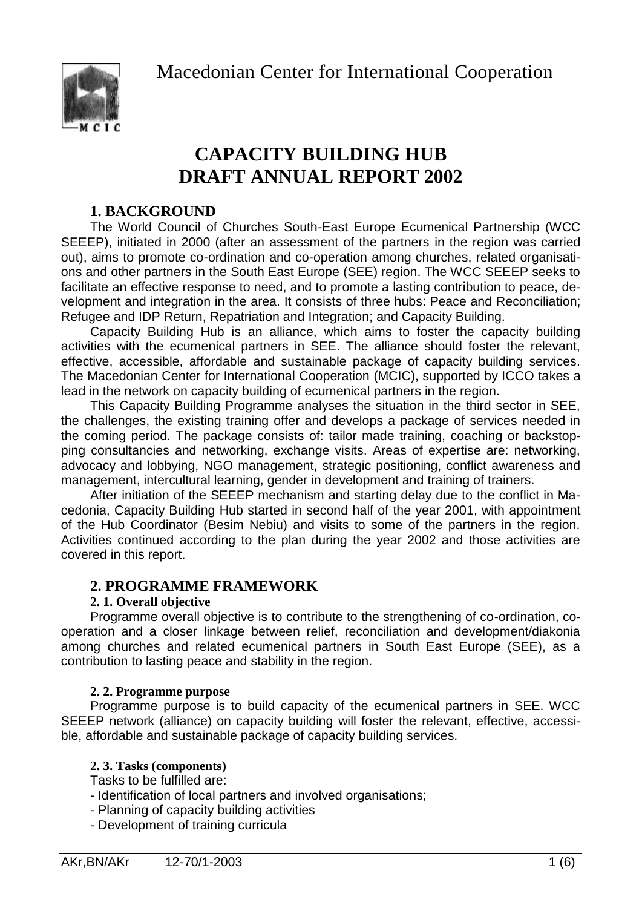Macedonian Center for International Cooperation



# **CAPACITY BUILDING HUB DRAFT ANNUAL REPORT 2002**

# **1. BACKGROUND**

The World Council of Churches South-East Europe Ecumenical Partnership (WCC SEEEP), initiated in 2000 (after an assessment of the partners in the region was carried out), aims to promote co-ordination and co-operation among churches, related organisations and other partners in the South East Europe (SEE) region. The WCC SEEEP seeks to facilitate an effective response to need, and to promote a lasting contribution to peace, development and integration in the area. It consists of three hubs: Peace and Reconciliation; Refugee and IDP Return, Repatriation and Integration; and Capacity Building.

Capacity Building Hub is an alliance, which aims to foster the capacity building activities with the ecumenical partners in SEE. The alliance should foster the relevant, effective, accessible, affordable and sustainable package of capacity building services. The Macedonian Center for International Cooperation (MCIC), supported by ICCO takes a lead in the network on capacity building of ecumenical partners in the region.

This Capacity Building Programme analyses the situation in the third sector in SEE, the challenges, the existing training offer and develops a package of services needed in the coming period. The package consists of: tailor made training, coaching or backstopping consultancies and networking, exchange visits. Areas of expertise are: networking, advocacy and lobbying, NGO management, strategic positioning, conflict awareness and management, intercultural learning, gender in development and training of trainers.

After initiation of the SEEEP mechanism and starting delay due to the conflict in Macedonia, Capacity Building Hub started in second half of the year 2001, with appointment of the Hub Coordinator (Besim Nebiu) and visits to some of the partners in the region. Activities continued according to the plan during the year 2002 and those activities are covered in this report.

# **2. PROGRAMME FRAMEWORK**

# **2. 1. Overall objective**

Programme overall objective is to contribute to the strengthening of co-ordination, cooperation and a closer linkage between relief, reconciliation and development/diakonia among churches and related ecumenical partners in South East Europe (SEE), as a contribution to lasting peace and stability in the region.

# **2. 2. Programme purpose**

Programme purpose is to build capacity of the ecumenical partners in SEE. WCC SEEEP network (alliance) on capacity building will foster the relevant, effective, accessible, affordable and sustainable package of capacity building services.

# **2. 3. Tasks (components)**

Tasks to be fulfilled are:

- Identification of local partners and involved organisations;
- Planning of capacity building activities
- Development of training curricula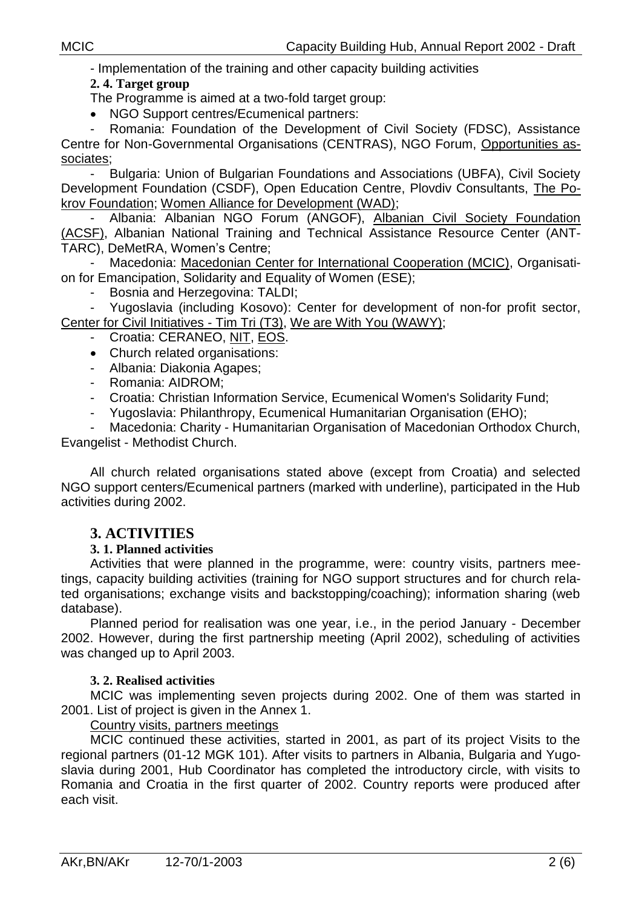- Implementation of the training and other capacity building activities

## **2. 4. Target group**

The Programme is aimed at a two-fold target group:

• NGO Support centres/Ecumenical partners:

- Romania: Foundation of the Development of Civil Society (FDSC), Assistance Centre for Non-Governmental Organisations (CENTRAS), NGO Forum, Opportunities associates;

- Bulgaria: Union of Bulgarian Foundations and Associations (UBFA), Civil Society Development Foundation (CSDF), Open Education Centre, Plovdiv Consultants, The Pokrov Foundation; Women Alliance for Development (WAD);

- Albania: Albanian NGO Forum (ANGOF), Albanian Civil Society Foundation (ACSF), Albanian National Training and Technical Assistance Resource Center (ANT-TARC), DeMetRA, Women's Centre;

Macedonia: Macedonian Center for International Cooperation (MCIC), Organisation for Emancipation, Solidarity and Equality of Women (ESE);

- Bosnia and Herzegovina: TALDI;

Yugoslavia (including Kosovo): Center for development of non-for profit sector, Center for Civil Initiatives - Tim Tri (T3), We are With You (WAWY);

- Croatia: CERANEO, NIT, EOS.
- Church related organisations:
- Albania: Diakonia Agapes;
- Romania: AIDROM;
- Croatia: Christian Information Service, Ecumenical Women's Solidarity Fund;
- Yugoslavia: Philanthropy, Ecumenical Humanitarian Organisation (EHO);

Macedonia: Charity - Humanitarian Organisation of Macedonian Orthodox Church, Evangelist - Methodist Church.

All church related organisations stated above (except from Croatia) and selected NGO support centers/Ecumenical partners (marked with underline), participated in the Hub activities during 2002.

# **3. ACTIVITIES**

#### **3. 1. Planned activities**

Activities that were planned in the programme, were: country visits, partners meetings, capacity building activities (training for NGO support structures and for church related organisations; exchange visits and backstopping/coaching); information sharing (web database).

Planned period for realisation was one year, i.e., in the period January - December 2002. However, during the first partnership meeting (April 2002), scheduling of activities was changed up to April 2003.

#### **3. 2. Realised activities**

MCIC was implementing seven projects during 2002. One of them was started in 2001. List of project is given in the Annex 1.

#### Country visits, partners meetings

MCIC continued these activities, started in 2001, as part of its project Visits to the regional partners (01-12 MGK 101). After visits to partners in Albania, Bulgaria and Yugoslavia during 2001, Hub Coordinator has completed the introductory circle, with visits to Romania and Croatia in the first quarter of 2002. Country reports were produced after each visit.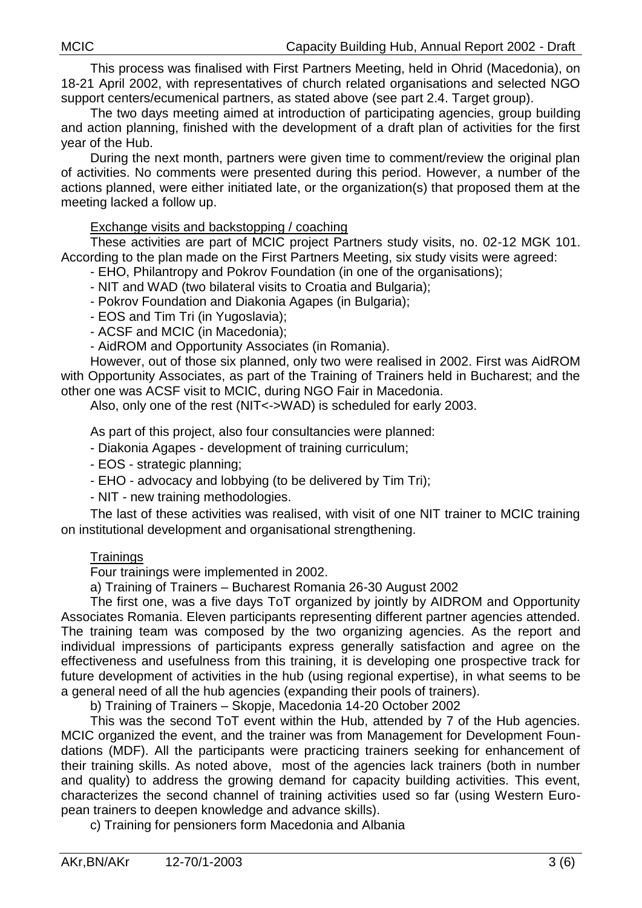This process was finalised with First Partners Meeting, held in Ohrid (Macedonia), on 18-21 April 2002, with representatives of church related organisations and selected NGO support centers/ecumenical partners, as stated above (see part 2.4. Target group).

The two days meeting aimed at introduction of participating agencies, group building and action planning, finished with the development of a draft plan of activities for the first year of the Hub.

During the next month, partners were given time to comment/review the original plan of activities. No comments were presented during this period. However, a number of the actions planned, were either initiated late, or the organization(s) that proposed them at the meeting lacked a follow up.

## Exchange visits and backstopping / coaching

These activities are part of MCIC project Partners study visits, no. 02-12 MGK 101. According to the plan made on the First Partners Meeting, six study visits were agreed:

- EHO, Philantropy and Pokrov Foundation (in one of the organisations);

- NIT and WAD (two bilateral visits to Croatia and Bulgaria);
- Pokrov Foundation and Diakonia Agapes (in Bulgaria);
- EOS and Tim Tri (in Yugoslavia);
- ACSF and MCIC (in Macedonia);
- AidROM and Opportunity Associates (in Romania).

However, out of those six planned, only two were realised in 2002. First was AidROM with Opportunity Associates, as part of the Training of Trainers held in Bucharest; and the other one was ACSF visit to MCIC, during NGO Fair in Macedonia.

Also, only one of the rest (NIT<->WAD) is scheduled for early 2003.

As part of this project, also four consultancies were planned:

- Diakonia Agapes - development of training curriculum;

- EOS strategic planning;
- EHO advocacy and lobbying (to be delivered by Tim Tri);

- NIT - new training methodologies.

The last of these activities was realised, with visit of one NIT trainer to MCIC training on institutional development and organisational strengthening.

#### **Trainings**

Four trainings were implemented in 2002.

a) Training of Trainers – Bucharest Romania 26-30 August 2002

The first one, was a five days ToT organized by jointly by AIDROM and Opportunity Associates Romania. Eleven participants representing different partner agencies attended. The training team was composed by the two organizing agencies. As the report and individual impressions of participants express generally satisfaction and agree on the effectiveness and usefulness from this training, it is developing one prospective track for future development of activities in the hub (using regional expertise), in what seems to be a general need of all the hub agencies (expanding their pools of trainers).

b) Training of Trainers – Skopje, Macedonia 14-20 October 2002

This was the second ToT event within the Hub, attended by 7 of the Hub agencies. MCIC organized the event, and the trainer was from Management for Development Foundations (MDF). All the participants were practicing trainers seeking for enhancement of their training skills. As noted above, most of the agencies lack trainers (both in number and quality) to address the growing demand for capacity building activities. This event, characterizes the second channel of training activities used so far (using Western European trainers to deepen knowledge and advance skills).

c) Training for pensioners form Macedonia and Albania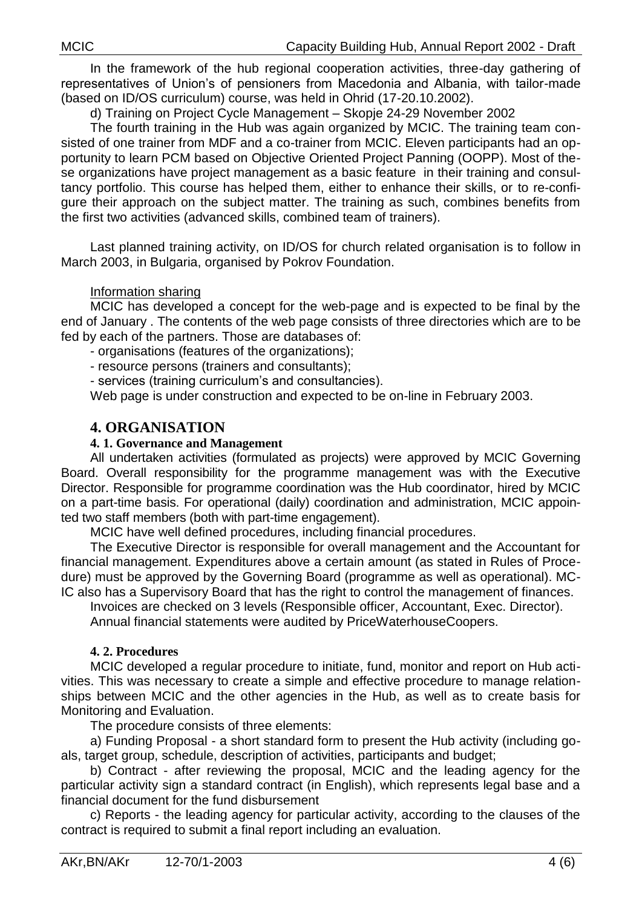In the framework of the hub regional cooperation activities, three-day gathering of representatives of Union's of pensioners from Macedonia and Albania, with tailor-made (based on ID/OS curriculum) course, was held in Ohrid (17-20.10.2002).

d) Training on Project Cycle Management – Skopje 24-29 November 2002

The fourth training in the Hub was again organized by MCIC. The training team consisted of one trainer from MDF and a co-trainer from MCIC. Eleven participants had an opportunity to learn PCM based on Objective Oriented Project Panning (OOPP). Most of these organizations have project management as a basic feature in their training and consultancy portfolio. This course has helped them, either to enhance their skills, or to re-configure their approach on the subject matter. The training as such, combines benefits from the first two activities (advanced skills, combined team of trainers).

Last planned training activity, on ID/OS for church related organisation is to follow in March 2003, in Bulgaria, organised by Pokrov Foundation.

## Information sharing

MCIC has developed a concept for the web-page and is expected to be final by the end of January . The contents of the web page consists of three directories which are to be fed by each of the partners. Those are databases of:

- organisations (features of the organizations);

- resource persons (trainers and consultants);

- services (training curriculum's and consultancies).

Web page is under construction and expected to be on-line in February 2003.

# **4. ORGANISATION**

## **4. 1. Governance and Management**

All undertaken activities (formulated as projects) were approved by MCIC Governing Board. Overall responsibility for the programme management was with the Executive Director. Responsible for programme coordination was the Hub coordinator, hired by MCIC on a part-time basis. For operational (daily) coordination and administration, MCIC appointed two staff members (both with part-time engagement).

MCIC have well defined procedures, including financial procedures.

The Executive Director is responsible for overall management and the Accountant for financial management. Expenditures above a certain amount (as stated in Rules of Procedure) must be approved by the Governing Board (programme as well as operational). MC-IC also has a Supervisory Board that has the right to control the management of finances.

Invoices are checked on 3 levels (Responsible officer, Accountant, Exec. Director).

Annual financial statements were audited by PriceWaterhouseCoopers.

#### **4. 2. Procedures**

MCIC developed a regular procedure to initiate, fund, monitor and report on Hub activities. This was necessary to create a simple and effective procedure to manage relationships between MCIC and the other agencies in the Hub, as well as to create basis for Monitoring and Evaluation.

The procedure consists of three elements:

a) Funding Proposal - a short standard form to present the Hub activity (including goals, target group, schedule, description of activities, participants and budget;

b) Contract - after reviewing the proposal, MCIC and the leading agency for the particular activity sign a standard contract (in English), which represents legal base and a financial document for the fund disbursement

c) Reports - the leading agency for particular activity, according to the clauses of the contract is required to submit a final report including an evaluation.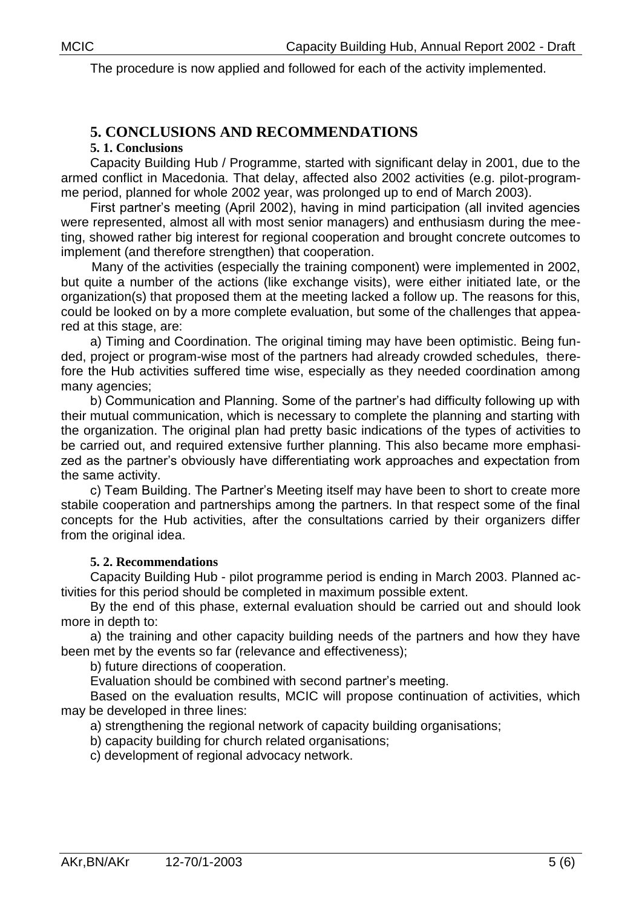The procedure is now applied and followed for each of the activity implemented.

# **5. CONCLUSIONS AND RECOMMENDATIONS**

**5. 1. Conclusions**

Capacity Building Hub / Programme, started with significant delay in 2001, due to the armed conflict in Macedonia. That delay, affected also 2002 activities (e.g. pilot-programme period, planned for whole 2002 year, was prolonged up to end of March 2003).

First partner's meeting (April 2002), having in mind participation (all invited agencies were represented, almost all with most senior managers) and enthusiasm during the meeting, showed rather big interest for regional cooperation and brought concrete outcomes to implement (and therefore strengthen) that cooperation.

Many of the activities (especially the training component) were implemented in 2002, but quite a number of the actions (like exchange visits), were either initiated late, or the organization(s) that proposed them at the meeting lacked a follow up. The reasons for this, could be looked on by a more complete evaluation, but some of the challenges that appeared at this stage, are:

a) Timing and Coordination. The original timing may have been optimistic. Being funded, project or program-wise most of the partners had already crowded schedules, therefore the Hub activities suffered time wise, especially as they needed coordination among many agencies;

b) Communication and Planning. Some of the partner's had difficulty following up with their mutual communication, which is necessary to complete the planning and starting with the organization. The original plan had pretty basic indications of the types of activities to be carried out, and required extensive further planning. This also became more emphasized as the partner's obviously have differentiating work approaches and expectation from the same activity.

c) Team Building. The Partner's Meeting itself may have been to short to create more stabile cooperation and partnerships among the partners. In that respect some of the final concepts for the Hub activities, after the consultations carried by their organizers differ from the original idea.

#### **5. 2. Recommendations**

Capacity Building Hub - pilot programme period is ending in March 2003. Planned activities for this period should be completed in maximum possible extent.

By the end of this phase, external evaluation should be carried out and should look more in depth to:

a) the training and other capacity building needs of the partners and how they have been met by the events so far (relevance and effectiveness);

b) future directions of cooperation.

Evaluation should be combined with second partner's meeting.

Based on the evaluation results, MCIC will propose continuation of activities, which may be developed in three lines:

a) strengthening the regional network of capacity building organisations;

b) capacity building for church related organisations;

c) development of regional advocacy network.